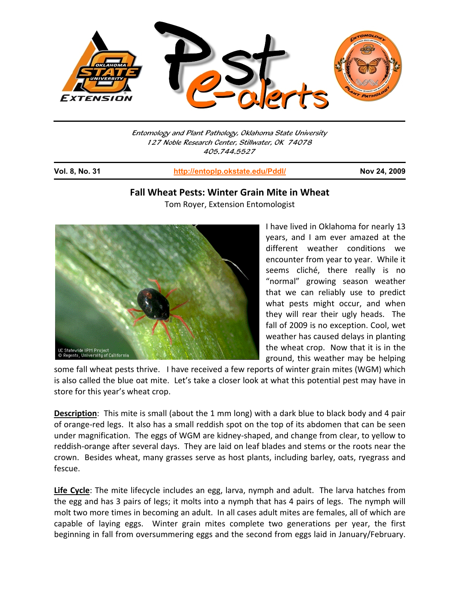

Entomology and Plant Pathology, Oklahoma State University 127 Noble Research Center, Stillwater, OK 74078 405.744.5527

j

**Vol. 8, No. 31 http://entoplp.okstate.edu/Pddl/ Nov 24, 2009**

## **Fall Wheat Pests: Winter Grain Mite in Wheat**

Tom Royer, Extension Entomologist



I have lived in Oklahoma for nearly 13 years, and I am ever amazed at the different weather conditions we encounter from year to year. While it seems cliché, there really is no "normal" growing season weather that we can reliably use to predict what pests might occur, and when they will rear their ugly heads. The fall of 2009 is no exception. Cool, wet weather has caused delays in planting the wheat crop. Now that it is in the ground, this weather may be helping

some fall wheat pests thrive. I have received a few reports of winter grain mites (WGM) which is also called the blue oat mite. Let's take a closer look at what this potential pest may have in store for this year's wheat crop.

**Description**: This mite is small (about the 1 mm long) with a dark blue to black body and 4 pair of orange‐red legs. It also has a small reddish spot on the top of its abdomen that can be seen under magnification. The eggs of WGM are kidney‐shaped, and change from clear, to yellow to reddish‐orange after several days. They are laid on leaf blades and stems or the roots near the crown. Besides wheat, many grasses serve as host plants, including barley, oats, ryegrass and fescue.

**Life Cycle**: The mite lifecycle includes an egg, larva, nymph and adult. The larva hatches from the egg and has 3 pairs of legs; it molts into a nymph that has 4 pairs of legs. The nymph will molt two more times in becoming an adult. In all cases adult mites are females, all of which are capable of laying eggs. Winter grain mites complete two generations per year, the first beginning in fall from oversummering eggs and the second from eggs laid in January/February.